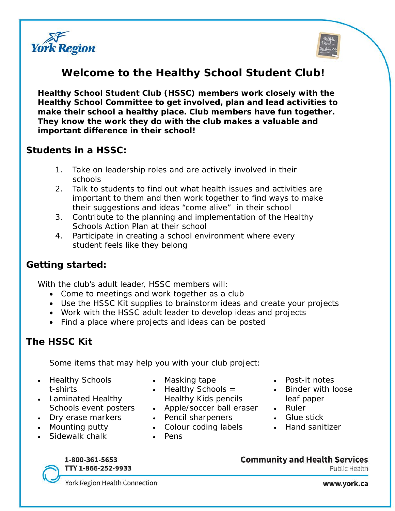



# **Welcome to the Healthy School Student Club!**

**Healthy School Student Club (HSSC) members work closely with the Healthy School Committee to get involved, plan and lead activities to make their school a healthy place. Club members have fun together. They know the work they do with the club makes a valuable and important difference in their school!** 

### **Students in a HSSC:**

- 1. Take on leadership roles and are actively involved in their schools
- 2. Talk to students to find out what health issues and activities are important to them and then work together to find ways to make their suggestions and ideas "come alive" in their school
- 3. Contribute to the planning and implementation of the Healthy Schools Action Plan at their school
- 4. Participate in creating a school environment where every student feels like they belong

# **Getting started:**

With the club's adult leader, HSSC members will:

- Come to meetings and work together as a club
- Use the HSSC Kit supplies to brainstorm ideas and create your projects
- Work with the HSSC adult leader to develop ideas and projects
- Find a place where projects and ideas can be posted

# **The HSSC Kit**

Some items that may help you with your club project:

- Healthy Schools t-shirts
- Laminated Healthy Schools event posters
- Dry erase markers
- Mounting putty
- Sidewalk chalk
- Masking tape
- *Healthy Schools = Healthy Kids* pencils
- Apple/soccer ball eraser
- Pencil sharpeners
- Colour coding labels
- Pens

#### 1-800-361-5653 TTY 1-866-252-9933

**Community and Health Services** Public Health

York Region Health Connection

www.york.ca

- Post-it notes
- Binder with loose leaf paper
- Ruler
- Glue stick
- Hand sanitizer
-